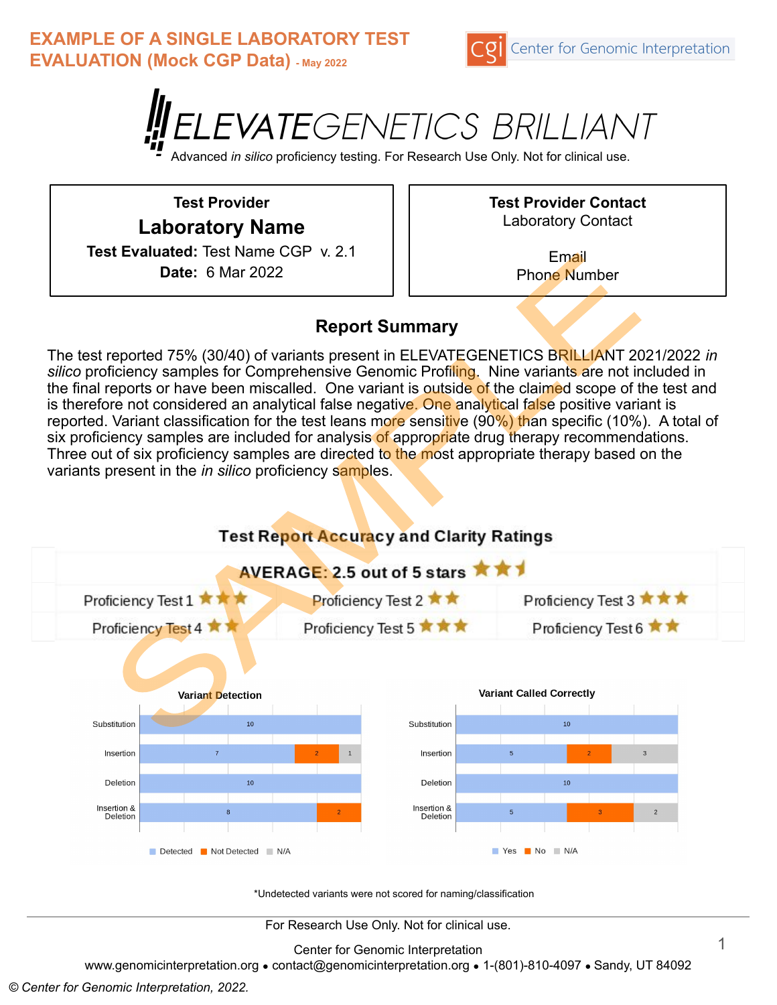**EXAMPLE OF A SINGLE LABORATORY TEST EVALUATION (Mock CGP Data) - May 2022**





Advanced *in silico* proficiency testing. For Research Use Only. Not for clinical use.

**Test Provider Laboratory Name Test Evaluated:** Test Name CGP v. 2.1 **Date:** 6 Mar 2022

**Test Provider Contact** Laboratory Contact

> Email Phone Number

#### **Report Summary**

The test reported 75% (30/40) of variants present in ELEVATEGENETICS BRILLIANT 2021/2022 *in silico* proficiency samples for Comprehensive Genomic Profiling. Nine variants are not included in the final reports or have been miscalled. One variant is outside of the claimed scope of the test and is therefore not considered an analytical false negative. One analytical false positive variant is reported. Variant classification for the test leans more sensitive (90%) than specific (10%). A total of six proficiency samples are included for analysis of appropriate drug therapy recommendations. Three out of six proficiency samples are directed to the most appropriate therapy based on the variants present in the *in silico* proficiency samples.



\*Undetected variants were not scored for naming/classification

For Research Use Only. Not for clinical use.

Center for Genomic Interpretation

www.genomicinterpretation.org ● contact@genomicinterpretation.org ● 1-(801)-810-4097 ● Sandy, UT 84092

*© Center for Genomic Interpretation, 2022.*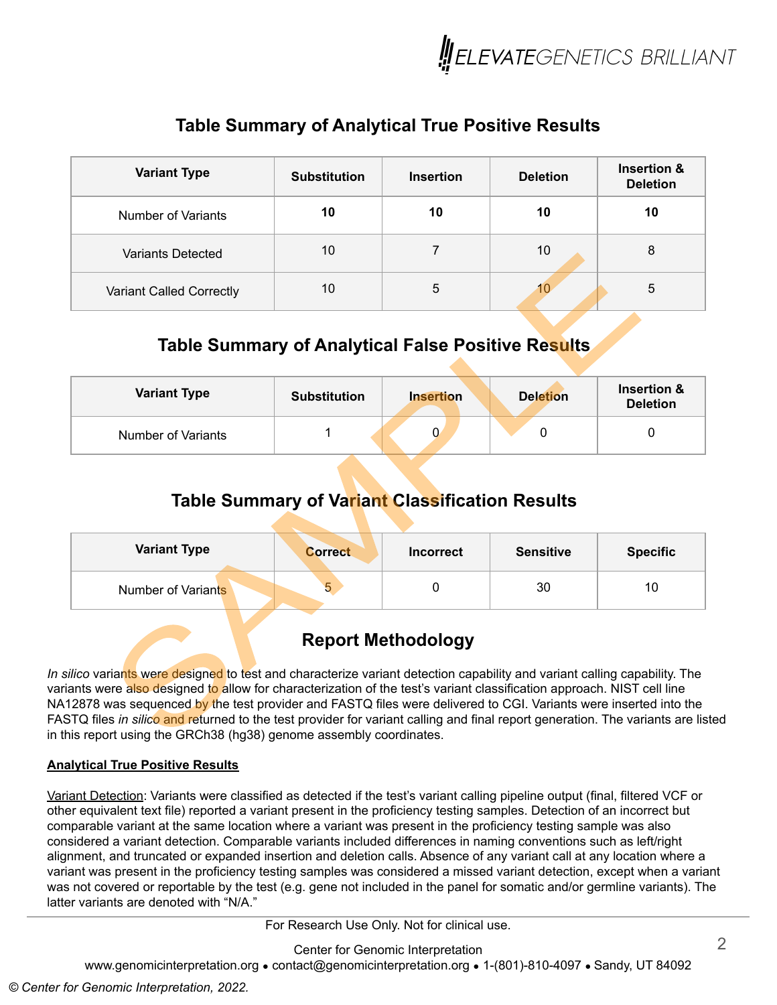

### **Table Summary of Analytical True Positive Results**

| <b>Variant Type</b>      | <b>Substitution</b> | <b>Insertion</b> | <b>Deletion</b> | <b>Insertion &amp;</b><br><b>Deletion</b> |
|--------------------------|---------------------|------------------|-----------------|-------------------------------------------|
| Number of Variants       | 10                  | 10               | 10              | 10                                        |
| <b>Variants Detected</b> | 10                  |                  | 10              | 8                                         |
| Variant Called Correctly | 10                  | 5                | 10              | 5                                         |

### **Table Summary of Analytical False Positive Results**

| <b>Variant Type</b> | <b>Substitution</b> | <b>Insertion</b> |  | <b>Deletion</b> | Insertion &<br><b>Deletion</b> |
|---------------------|---------------------|------------------|--|-----------------|--------------------------------|
| Number of Variants  |                     |                  |  |                 |                                |

#### **Table Summary of Variant Classification Results**

| <b>Variant Type</b> | <b>Correct</b> | <b>Incorrect</b> | <b>Sensitive</b> | <b>Specific</b> |
|---------------------|----------------|------------------|------------------|-----------------|
| Number of Variants  | v              |                  | 30               | 10              |

## **Report Methodology**

*In silico* variants were designed to test and characterize variant detection capability and variant calling capability. The variants were also designed to allow for characterization of the test's variant classification approach. NIST cell line NA12878 was sequenced by the test provider and FASTQ files were delivered to CGI. Variants were inserted into the FASTQ files *in silico* and returned to the test provider for variant calling and final report generation. The variants are listed in this report using the GRCh38 (hg38) genome assembly coordinates.

#### **Analytical True Positive Results**

Variant Detection: Variants were classified as detected if the test's variant calling pipeline output (final, filtered VCF or other equivalent text file) reported a variant present in the proficiency testing samples. Detection of an incorrect but comparable variant at the same location where a variant was present in the proficiency testing sample was also considered a variant detection. Comparable variants included differences in naming conventions such as left/right alignment, and truncated or expanded insertion and deletion calls. Absence of any variant call at any location where a variant was present in the proficiency testing samples was considered a missed variant detection, except when a variant was not covered or reportable by the test (e.g. gene not included in the panel for somatic and/or germline variants). The latter variants are denoted with "N/A."

For Research Use Only. Not for clinical use.

Center for Genomic Interpretation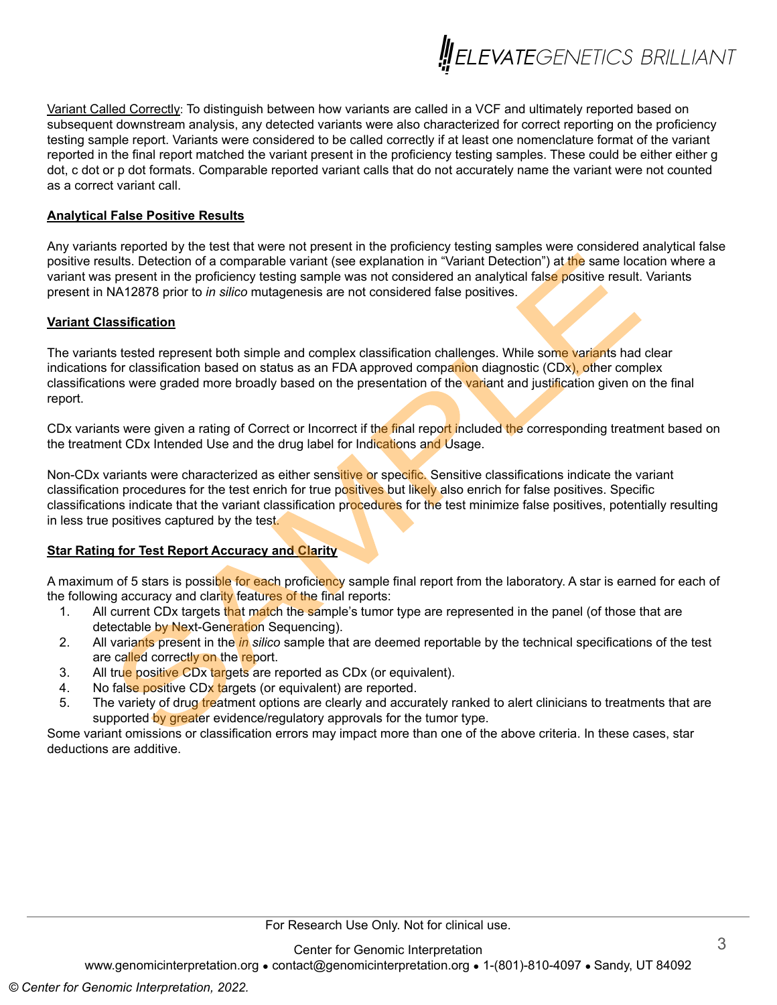

Variant Called Correctly: To distinguish between how variants are called in a VCF and ultimately reported based on subsequent downstream analysis, any detected variants were also characterized for correct reporting on the proficiency testing sample report. Variants were considered to be called correctly if at least one nomenclature format of the variant reported in the final report matched the variant present in the proficiency testing samples. These could be either either g dot, c dot or p dot formats. Comparable reported variant calls that do not accurately name the variant were not counted as a correct variant call.

#### **Analytical False Positive Results**

Any variants reported by the test that were not present in the proficiency testing samples were considered analytical false positive results. Detection of a comparable variant (see explanation in "Variant Detection") at the same location where a variant was present in the proficiency testing sample was not considered an analytical false positive result. Variants present in NA12878 prior to *in silico* mutagenesis are not considered false positives.

#### **Variant Classification**

The variants tested represent both simple and complex classification challenges. While some variants had clear indications for classification based on status as an FDA approved companion diagnostic (CDx), other complex classifications were graded more broadly based on the presentation of the variant and justification given on the final report.

CDx variants were given a rating of Correct or Incorrect if the final report included the corresponding treatment based on the treatment CDx Intended Use and the drug label for Indications and Usage.

Non-CDx variants were characterized as either sensitive or specific. Sensitive classifications indicate the variant classification procedures for the test enrich for true positives but likely also enrich for false positives. Specific classifications indicate that the variant classification procedures for the test minimize false positives, potentially resulting in less true positives captured by the test.

#### **Star Rating for Test Report Accuracy and Clarity**

A maximum of 5 stars is possible for each proficiency sample final report from the laboratory. A star is earned for each of the following accuracy and clarity features of the final reports:

- 1. All current CDx targets that match the sample's tumor type are represented in the panel (of those that are detectable by Next-Generation Sequencing).
- 2. All variants present in the *in silico* sample that are deemed reportable by the technical specifications of the test are called correctly on the report.
- 3. All true positive CDx targets are reported as CDx (or equivalent).
- 4. No false positive CDx targets (or equivalent) are reported.
- 5. The variety of drug treatment options are clearly and accurately ranked to alert clinicians to treatments that are supported by greater evidence/regulatory approvals for the tumor type.

Some variant omissions or classification errors may impact more than one of the above criteria. In these cases, star deductions are additive.

Center for Genomic Interpretation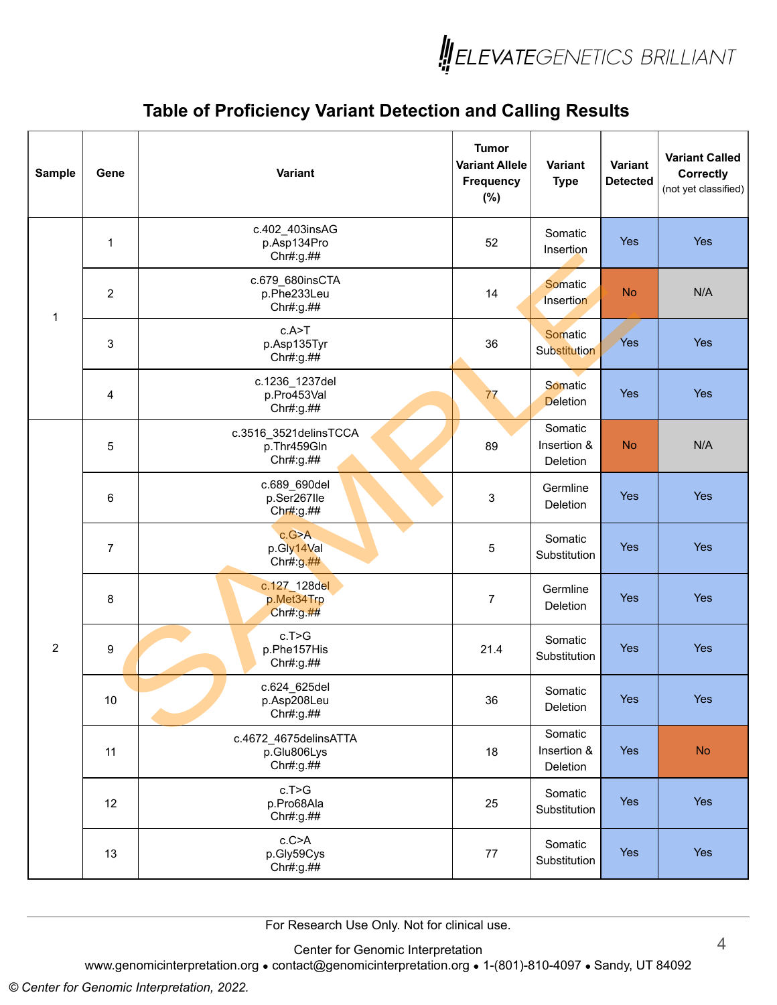

| <b>Sample</b>  | Gene           | Variant                                           | <b>Tumor</b><br><b>Variant Allele</b><br><b>Frequency</b><br>(%) | Variant<br><b>Type</b>             | Variant<br><b>Detected</b> | <b>Variant Called</b><br><b>Correctly</b><br>(not yet classified) |
|----------------|----------------|---------------------------------------------------|------------------------------------------------------------------|------------------------------------|----------------------------|-------------------------------------------------------------------|
|                | 1              | c.402_403insAG<br>p.Asp134Pro<br>Chr#:g.##        | 52                                                               | Somatic<br>Insertion               | <b>Yes</b>                 | Yes                                                               |
| $\mathbf 1$    | $\overline{c}$ | c.679_680insCTA<br>p.Phe233Leu<br>Chr#:g.##       | 14                                                               | Somatic<br>Insertion               | <b>No</b>                  | N/A                                                               |
|                | 3              | c.A > T<br>p.Asp135Tyr<br>Chr#:g.##               | 36                                                               | Somatic<br>Substitution            | Yes                        | Yes                                                               |
|                | 4              | c.1236_1237del<br>p.Pro453Val<br>Chr#:g.##        | 77                                                               | Somatic<br><b>Deletion</b>         | <b>Yes</b>                 | Yes                                                               |
|                | 5              | c.3516 3521delinsTCCA<br>p.Thr459Gln<br>Chr#:g.## | 89                                                               | Somatic<br>Insertion &<br>Deletion | <b>No</b>                  | N/A                                                               |
|                | 6              | c.689_690del<br>p.Ser267lle<br>Chr#:g.##          | 3                                                                | Germline<br>Deletion               | <b>Yes</b>                 | Yes                                                               |
|                | $\overline{7}$ | c.G>A<br>p.Gly14Val<br>Chr#:g.##                  | 5                                                                | Somatic<br>Substitution            | <b>Yes</b>                 | Yes                                                               |
|                | 8              | c.127_128del<br>p.Met34Trp<br>Chr#:g.##           | $\boldsymbol{7}$                                                 | Germline<br>Deletion               | <b>Yes</b>                 | Yes                                                               |
| $\overline{c}$ | 9              | c.T>G<br>p.Phe157His<br>Chr#:g.##                 | 21.4                                                             | Somatic<br>Substitution            | Yes                        | Yes                                                               |
|                | 10             | c.624_625del<br>p.Asp208Leu<br>Chr#:g.##          | 36                                                               | Somatic<br>Deletion                | Yes                        | Yes                                                               |
|                | 11             | c.4672 4675delinsATTA<br>p.Glu806Lys<br>Chr#:g.## | 18                                                               | Somatic<br>Insertion &<br>Deletion | Yes                        | <b>No</b>                                                         |
|                | 12             | c.T>G<br>p.Pro68Ala<br>Chr#:g.##                  | 25                                                               | Somatic<br>Substitution            | Yes                        | Yes                                                               |
|                | 13             | c.C>A<br>p.Gly59Cys<br>Chr#:g.##                  | 77                                                               | Somatic<br>Substitution            | Yes                        | Yes                                                               |

For Research Use Only. Not for clinical use.

Center for Genomic Interpretation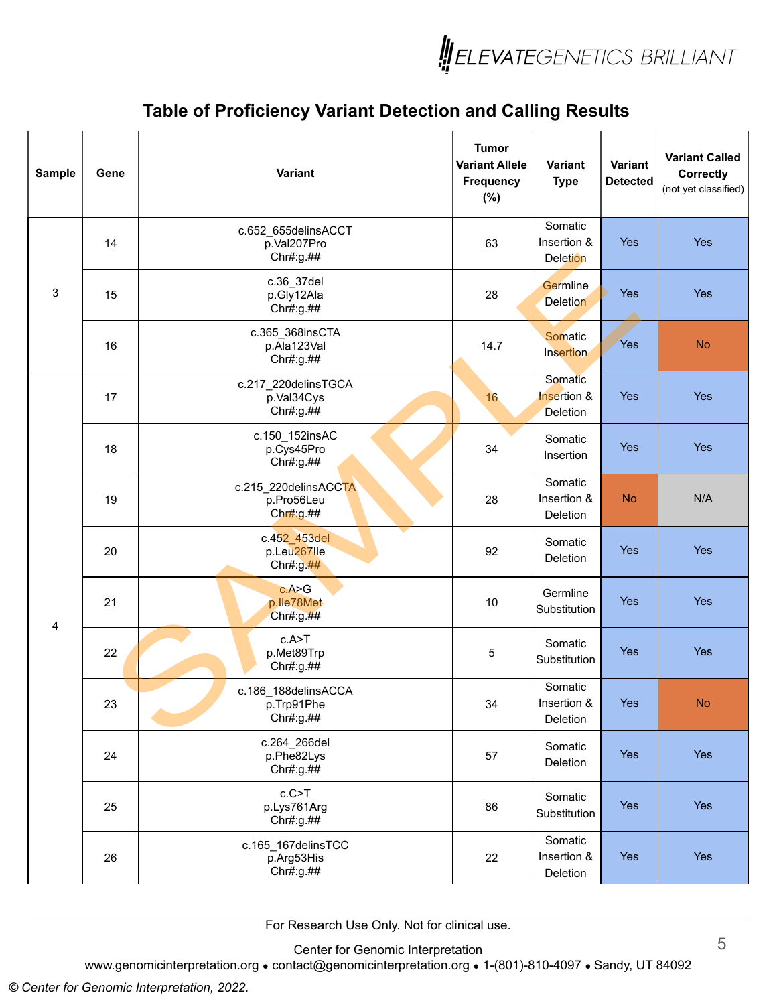

| <b>Sample</b> | Gene | Variant                                              | <b>Tumor</b><br><b>Variant Allele</b><br>Frequency<br>(%) | Variant<br><b>Type</b>                    | Variant<br><b>Detected</b> | <b>Variant Called</b><br><b>Correctly</b><br>(not yet classified) |
|---------------|------|------------------------------------------------------|-----------------------------------------------------------|-------------------------------------------|----------------------------|-------------------------------------------------------------------|
|               | 14   | c.652_655delinsACCT<br>p.Val207Pro<br>Chr#:g.##      | 63                                                        | Somatic<br>Insertion &<br><b>Deletion</b> | <b>Yes</b>                 | Yes                                                               |
| 3             | 15   | c.36_37del<br>p.Gly12Ala<br>Chr#:g.##                | 28                                                        | Germline<br><b>Deletion</b>               | <b>Yes</b>                 | Yes                                                               |
|               | 16   | c.365_368insCTA<br>p.Ala123Val<br>Chr#:g.##          | 14.7                                                      | Somatic<br>Insertion                      | Yes                        | <b>No</b>                                                         |
|               | 17   | c.217_220delinsTGCA<br>p.Val34Cys<br>Chr#:g.##       | 16                                                        | Somatic<br>Insertion &<br>Deletion        | <b>Yes</b>                 | Yes                                                               |
|               | 18   | c.150 152insAC<br>p.Cys45Pro<br>Chr#:g.##            | 34                                                        | Somatic<br>Insertion                      | <b>Yes</b>                 | Yes                                                               |
|               | 19   | c.215_220delinsACCTA<br>p.Pro56Leu<br>Chr#:g.##      | 28                                                        | Somatic<br>Insertion &<br>Deletion        | <b>No</b>                  | N/A                                                               |
|               | 20   | c.452_453del<br>p.Leu267lle<br>Chr#:g. $\frac{#}{#}$ | 92                                                        | Somatic<br>Deletion                       | <b>Yes</b>                 | Yes                                                               |
| 4             | 21   | c.A > G<br>p.lle78Met<br>Chr#:g.##                   | 10                                                        | Germline<br>Substitution                  | Yes                        | Yes                                                               |
|               | 22   | c.A > T<br>p.Met89Trp<br>Chr#:g.##                   | 5                                                         | Somatic<br>Substitution                   | <b>Yes</b>                 | Yes                                                               |
|               | 23   | c.186 188delinsACCA<br>p.Trp91Phe<br>Chr#:g.##       | 34                                                        | Somatic<br>Insertion &<br>Deletion        | Yes                        | <b>No</b>                                                         |
|               | 24   | c.264_266del<br>p.Phe82Lys<br>Chr#:g.##              | 57                                                        | Somatic<br>Deletion                       | Yes                        | Yes                                                               |
|               | 25   | c.C > T<br>p.Lys761Arg<br>Chr#:g.##                  | 86                                                        | Somatic<br>Substitution                   | Yes                        | Yes                                                               |
|               | 26   | c.165 167delinsTCC<br>p.Arg53His<br>Chr#:g.##        | 22                                                        | Somatic<br>Insertion &<br>Deletion        | Yes                        | Yes                                                               |

For Research Use Only. Not for clinical use.

Center for Genomic Interpretation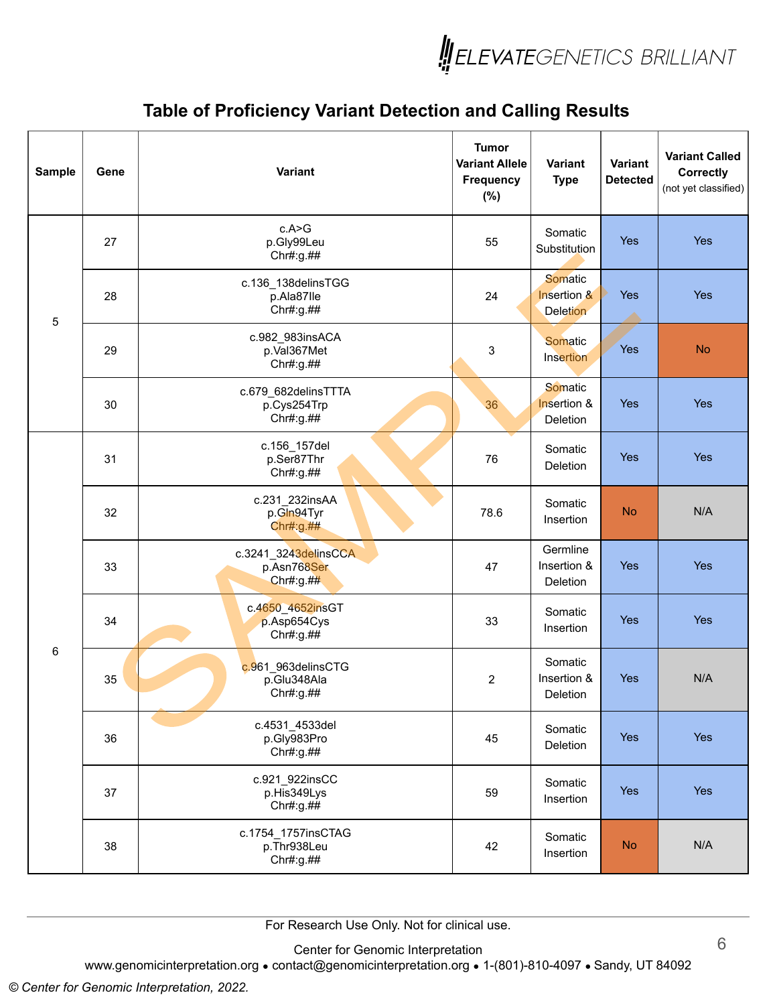

| <b>Sample</b> | Gene | Variant                                          | <b>Tumor</b><br><b>Variant Allele</b><br><b>Frequency</b><br>(%) | Variant<br><b>Type</b>                    | Variant<br><b>Detected</b> | <b>Variant Called</b><br><b>Correctly</b><br>(not yet classified) |
|---------------|------|--------------------------------------------------|------------------------------------------------------------------|-------------------------------------------|----------------------------|-------------------------------------------------------------------|
|               | 27   | c.A>G<br>p.Gly99Leu<br>Chr#:g.##                 | 55                                                               | Somatic<br>Substitution                   | <b>Yes</b>                 | <b>Yes</b>                                                        |
| 5             | 28   | c.136 138delinsTGG<br>p.Ala87lle<br>Chr#:g.##    | 24                                                               | Somatic<br>Insertion &<br><b>Deletion</b> | Yes                        | Yes                                                               |
|               | 29   | c.982_983insACA<br>p.Val367Met<br>Chr#:g.##      | 3                                                                | Somatic<br>Insertion                      | Yes                        | <b>No</b>                                                         |
|               | 30   | c.679_682delinsTTTA<br>p.Cys254Trp<br>Chr#:g.##  | 36                                                               | Somatic<br>Insertion &<br>Deletion        | Yes                        | Yes                                                               |
|               | 31   | c.156_157del<br>p.Ser87Thr<br>Chr#:g.##          | 76                                                               | Somatic<br>Deletion                       | <b>Yes</b>                 | Yes                                                               |
|               | 32   | c.231_232insAA<br>p.Gln94Tyr<br>Chr#:g.##        | 78.6                                                             | Somatic<br>Insertion                      | <b>No</b>                  | N/A                                                               |
|               | 33   | c.3241_3243delinsCCA<br>p.Asn768Ser<br>Chr#:g.## | 47                                                               | Germline<br>Insertion &<br>Deletion       | <b>Yes</b>                 | Yes                                                               |
|               | 34   | c.4650_4652insGT<br>p.Asp654Cys<br>Chr#:g.##     | 33                                                               | Somatic<br>Insertion                      | <b>Yes</b>                 | Yes                                                               |
| 6             | 35   | c.961_963delinsCTG<br>p.Glu348Ala<br>Chr#:g.##   | $\overline{c}$                                                   | Somatic<br>Insertion &<br>Deletion        | <b>Yes</b>                 | N/A                                                               |
|               | 36   | c.4531_4533del<br>p.Gly983Pro<br>Chr#:g.##       | 45                                                               | Somatic<br>Deletion                       | Yes                        | Yes                                                               |
|               | 37   | c.921 922insCC<br>p.His349Lys<br>Chr#:g.##       | 59                                                               | Somatic<br>Insertion                      | Yes                        | Yes                                                               |
|               | 38   | c.1754_1757insCTAG<br>p.Thr938Leu<br>Chr#:g.##   | 42                                                               | Somatic<br>Insertion                      | <b>No</b>                  | N/A                                                               |

For Research Use Only. Not for clinical use.

Center for Genomic Interpretation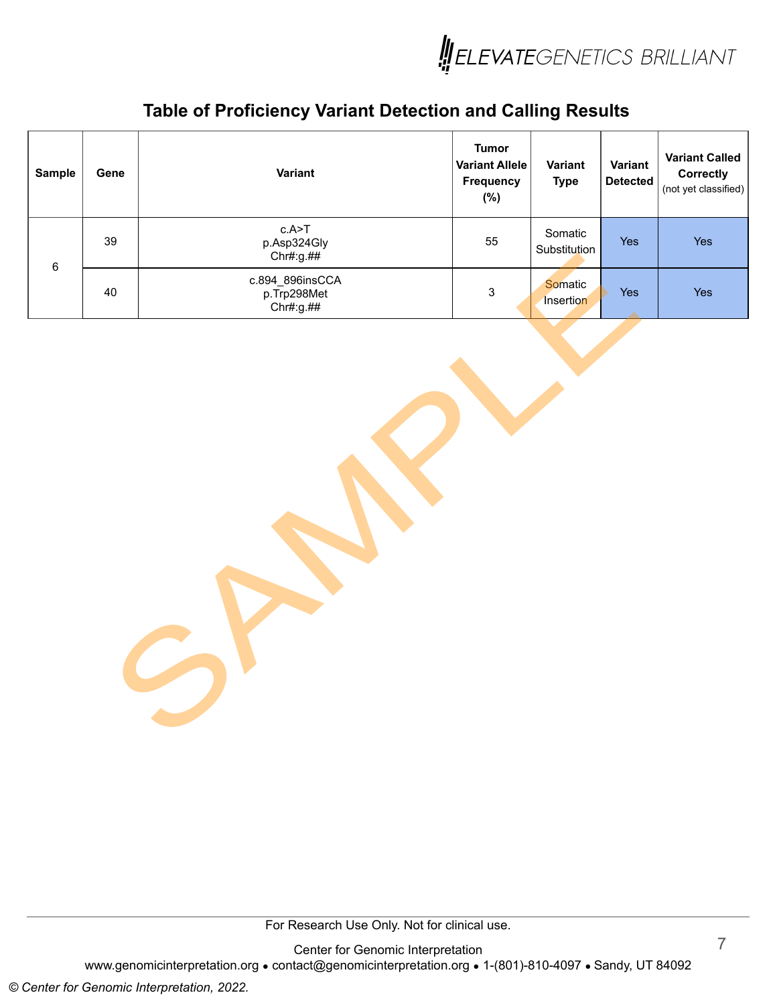

| <b>Sample</b> | Gene | <b>Variant</b>                              | <b>Tumor</b><br><b>Variant Allele</b><br><b>Frequency</b><br>$(\%)$ | <b>Variant</b><br><b>Type</b> | Variant<br><b>Detected</b> | <b>Variant Called</b><br>Correctly<br>(not yet classified) |
|---------------|------|---------------------------------------------|---------------------------------------------------------------------|-------------------------------|----------------------------|------------------------------------------------------------|
| 6             | 39   | c.A>T<br>p.Asp324Gly<br>Chr#:g.##           | 55                                                                  | Somatic<br>Substitution       | <b>Yes</b>                 | <b>Yes</b>                                                 |
|               | 40   | c.894_896insCCA<br>p.Trp298Met<br>Chr#:g.## | 3                                                                   | <b>Somatic</b><br>Insertion   | <b>Yes</b>                 | Yes                                                        |

For Research Use Only. Not for clinical use.

Center for Genomic Interpretation www.genomicinterpretation.org • contact@genomicinterpretation.org • 1-(801)-810-4097 • Sandy, UT 84092

 $\mathcal{L}$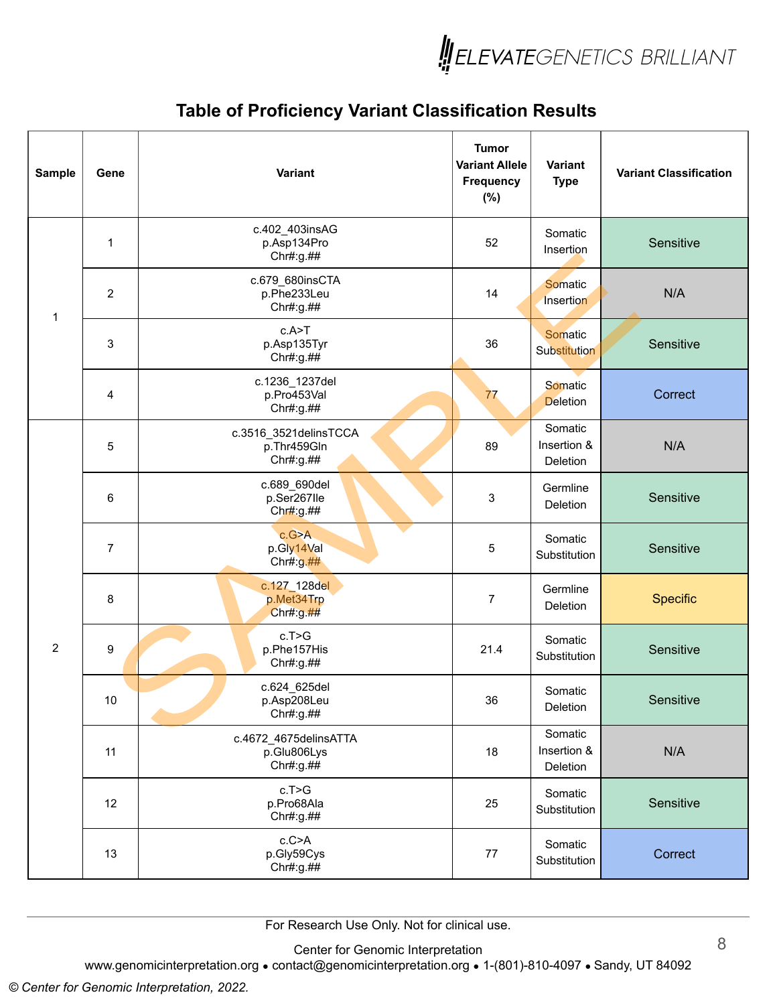

| <b>Sample</b>  | Gene           | Variant                                           | <b>Tumor</b><br><b>Variant Allele</b><br><b>Frequency</b><br>(%) | Variant<br><b>Type</b>             | <b>Variant Classification</b> |
|----------------|----------------|---------------------------------------------------|------------------------------------------------------------------|------------------------------------|-------------------------------|
|                | $\mathbf 1$    | c.402_403insAG<br>p.Asp134Pro<br>Chr#:g.##        | 52                                                               | Somatic<br>Insertion               | Sensitive                     |
| $\mathbf 1$    | $\overline{c}$ | c.679_680insCTA<br>p.Phe233Leu<br>Chr#:g.##       | 14                                                               | Somatic<br>Insertion               | N/A                           |
|                | 3              | c.A>T<br>p.Asp135Tyr<br>Chr#:g.##                 | 36                                                               | Somatic<br>Substitution            | Sensitive                     |
|                | 4              | c.1236_1237del<br>p.Pro453Val<br>Chr#:g.##        | 77                                                               | Somatic<br><b>Deletion</b>         | Correct                       |
|                | 5              | c.3516_3521delinsTCCA<br>p.Thr459Gln<br>Chr#:g.## | 89                                                               | Somatic<br>Insertion &<br>Deletion | N/A                           |
|                | 6              | c.689_690del<br>p.Ser267lle<br>Chr#:g.##          | 3                                                                | Germline<br>Deletion               | Sensitive                     |
|                | $\overline{7}$ | c.G>A<br>p.Gly14Val<br>Chr#:g.##                  | 5                                                                | Somatic<br>Substitution            | Sensitive                     |
|                | 8              | c.127_128del<br>p.Met34Trp<br>Chr#:g.##           | $\overline{\mathbf{7}}$                                          | Germline<br>Deletion               | <b>Specific</b>               |
| $\overline{2}$ | 9              | c.T>G<br>p.Phe157His<br>Chr#:g.##                 | 21.4                                                             | Somatic<br>Substitution            | Sensitive                     |
|                | 10             | c.624_625del<br>p.Asp208Leu<br>Chr#:g.##          | 36                                                               | Somatic<br>Deletion                | Sensitive                     |
|                | 11             | c.4672_4675delinsATTA<br>p.Glu806Lys<br>Chr#:g.## | 18                                                               | Somatic<br>Insertion &<br>Deletion | N/A                           |
|                | 12             | c.T>G<br>p.Pro68Ala<br>Chr#:g.##                  | 25                                                               | Somatic<br>Substitution            | Sensitive                     |
|                | 13             | c.C>A<br>p.Gly59Cys<br>Chr#:g.##                  | 77                                                               | Somatic<br>Substitution            | Correct                       |

For Research Use Only. Not for clinical use.

Center for Genomic Interpretation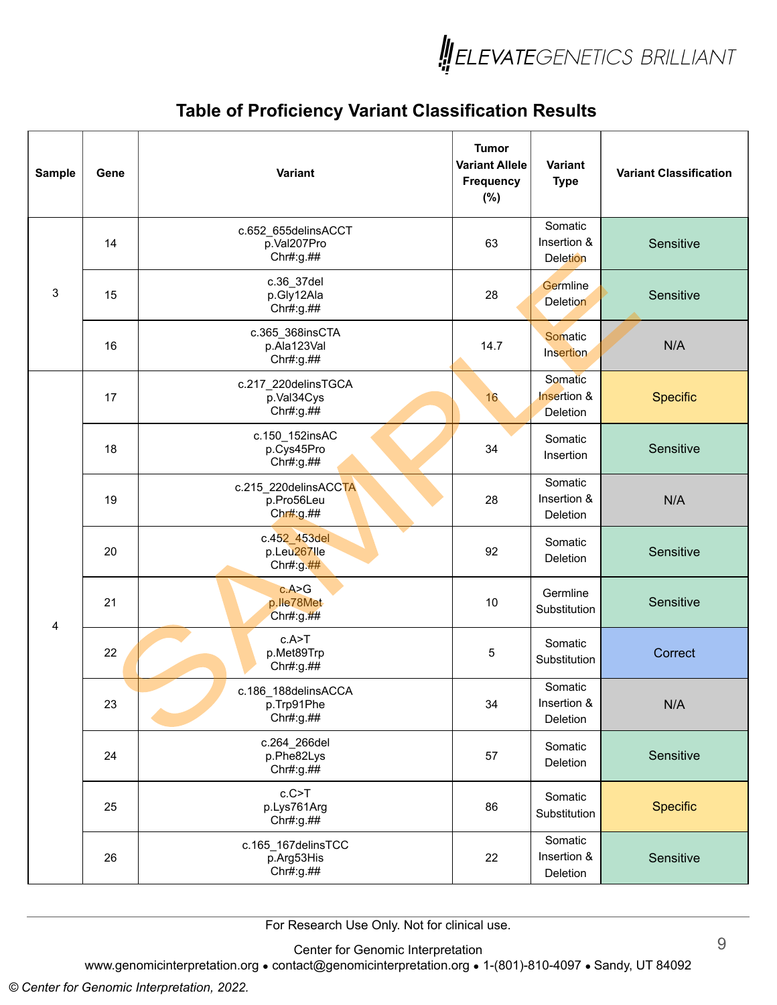

| Sample | Gene | Variant                                         | <b>Tumor</b><br><b>Variant Allele</b><br><b>Frequency</b><br>$(\%)$ | Variant<br><b>Type</b>                    | <b>Variant Classification</b> |
|--------|------|-------------------------------------------------|---------------------------------------------------------------------|-------------------------------------------|-------------------------------|
|        | 14   | c.652_655delinsACCT<br>p.Val207Pro<br>Chr#:g.## | 63                                                                  | Somatic<br>Insertion &<br><b>Deletion</b> | Sensitive                     |
| 3      | 15   | c.36_37del<br>p.Gly12Ala<br>Chr#:g.##           | 28                                                                  | Germline<br><b>Deletion</b>               | Sensitive                     |
|        | 16   | c.365_368insCTA<br>p.Ala123Val<br>Chr#:g.##     | 14.7                                                                | Somatic<br>Insertion                      | N/A                           |
|        | 17   | c.217_220delinsTGCA<br>p.Val34Cys<br>Chr#:g.##  | 16                                                                  | Somatic<br>Insertion &<br>Deletion        | Specific                      |
|        | 18   | c.150 152insAC<br>p.Cys45Pro<br>Chr#:g.##       | 34                                                                  | Somatic<br>Insertion                      | Sensitive                     |
|        | 19   | c.215_220delinsACCTA<br>p.Pro56Leu<br>Chr#:g.## | 28                                                                  | Somatic<br>Insertion &<br>Deletion        | N/A                           |
|        | 20   | c.452_453del<br>p.Leu267lle<br>Chr#: $g$ .##    | 92                                                                  | Somatic<br>Deletion                       | Sensitive                     |
| 4      | 21   | c.A > G<br>p.lle78Met<br>Chr#:g.##              | 10                                                                  | Germline<br>Substitution                  | Sensitive                     |
|        | 22   | c.A>T<br>p.Met89Trp<br>Chr#:g.##                | 5                                                                   | Somatic<br>Substitution                   | Correct                       |
|        | 23   | c.186 188delinsACCA<br>p.Trp91Phe<br>Chr#:g.##  | 34                                                                  | Somatic<br>Insertion &<br>Deletion        | N/A                           |
|        | 24   | c.264_266del<br>p.Phe82Lys<br>Chr#:g.##         | 57                                                                  | Somatic<br>Deletion                       | Sensitive                     |
|        | 25   | c.C > T<br>p.Lys761Arg<br>Chr#:g.##             | 86                                                                  | Somatic<br>Substitution                   | Specific                      |
|        | 26   | c.165_167delinsTCC<br>p.Arg53His<br>Chr#:g.##   | 22                                                                  | Somatic<br>Insertion &<br>Deletion        | Sensitive                     |

For Research Use Only. Not for clinical use.

Center for Genomic Interpretation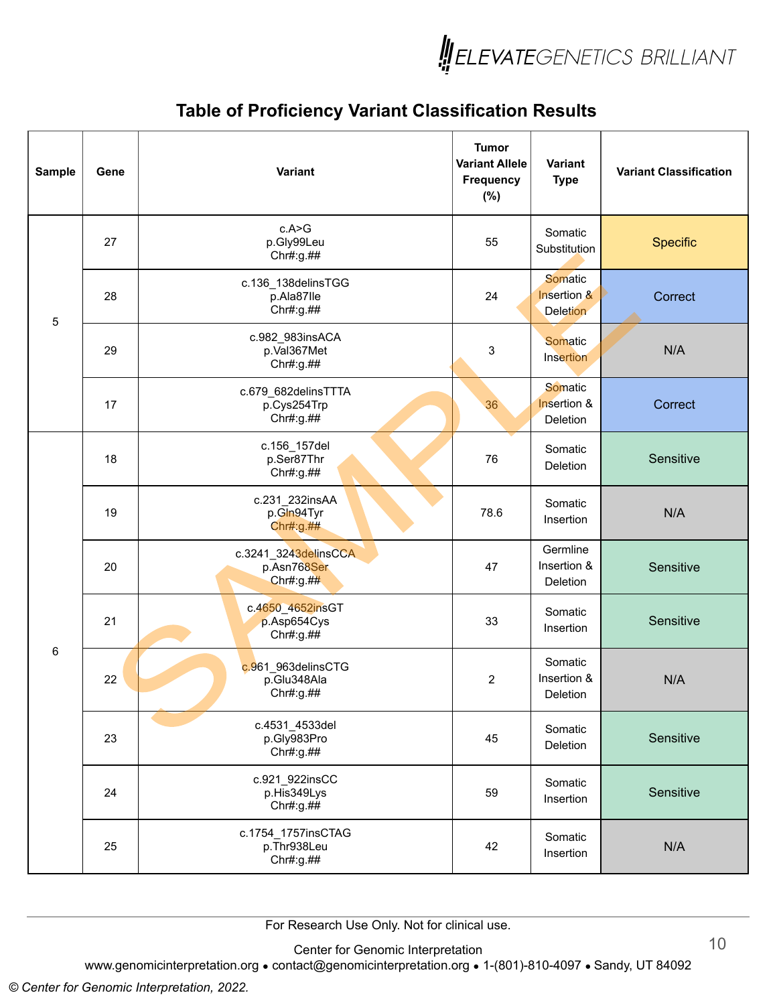

| Sample      | Gene | Variant                                          | <b>Tumor</b><br><b>Variant Allele</b><br><b>Frequency</b><br>$(\%)$ | <b>Variant</b><br><b>Type</b>             | <b>Variant Classification</b> |
|-------------|------|--------------------------------------------------|---------------------------------------------------------------------|-------------------------------------------|-------------------------------|
|             | 27   | c.A > G<br>p.Gly99Leu<br>Chr#:g.##               | 55                                                                  | Somatic<br>Substitution                   | Specific                      |
| $\mathbf 5$ | 28   | c.136_138delinsTGG<br>p.Ala87lle<br>Chr#:g.##    | 24                                                                  | Somatic<br>Insertion &<br><b>Deletion</b> | Correct                       |
|             | 29   | c.982_983insACA<br>p.Val367Met<br>Chr#:g.##      | 3                                                                   | Somatic<br>Insertion                      | N/A                           |
|             | 17   | c.679_682delinsTTTA<br>p.Cys254Trp<br>Chr#:g.##  | 36                                                                  | Somatic<br>Insertion &<br>Deletion        | Correct                       |
|             | 18   | c.156_157del<br>p.Ser87Thr<br>Chr#:g.##          | 76                                                                  | Somatic<br>Deletion                       | Sensitive                     |
|             | 19   | c.231_232insAA<br>p.Gln94Tyr<br>Chr#g. ##        | 78.6                                                                | Somatic<br>Insertion                      | N/A                           |
|             | 20   | c.3241_3243delinsCCA<br>p.Asn768Ser<br>Chr#:g.## | 47                                                                  | Germline<br>Insertion &<br>Deletion       | Sensitive                     |
|             | 21   | c.4650_4652insGT<br>p.Asp654Cys<br>Chr#:g.##     | 33                                                                  | Somatic<br>Insertion                      | Sensitive                     |
| 6           | 22   | c.961_963delinsCTG<br>p.Glu348Ala<br>Chr#:g.##   | $\overline{c}$                                                      | Somatic<br>Insertion &<br>Deletion        | N/A                           |
|             | 23   | c.4531_4533del<br>p.Gly983Pro<br>Chr#:g.##       | 45                                                                  | Somatic<br>Deletion                       | Sensitive                     |
|             | 24   | c.921_922insCC<br>p.His349Lys<br>Chr#:g.##       | 59                                                                  | Somatic<br>Insertion                      | Sensitive                     |
|             | 25   | c.1754_1757insCTAG<br>p.Thr938Leu<br>Chr#:g.##   | 42                                                                  | Somatic<br>Insertion                      | N/A                           |

For Research Use Only. Not for clinical use.

Center for Genomic Interpretation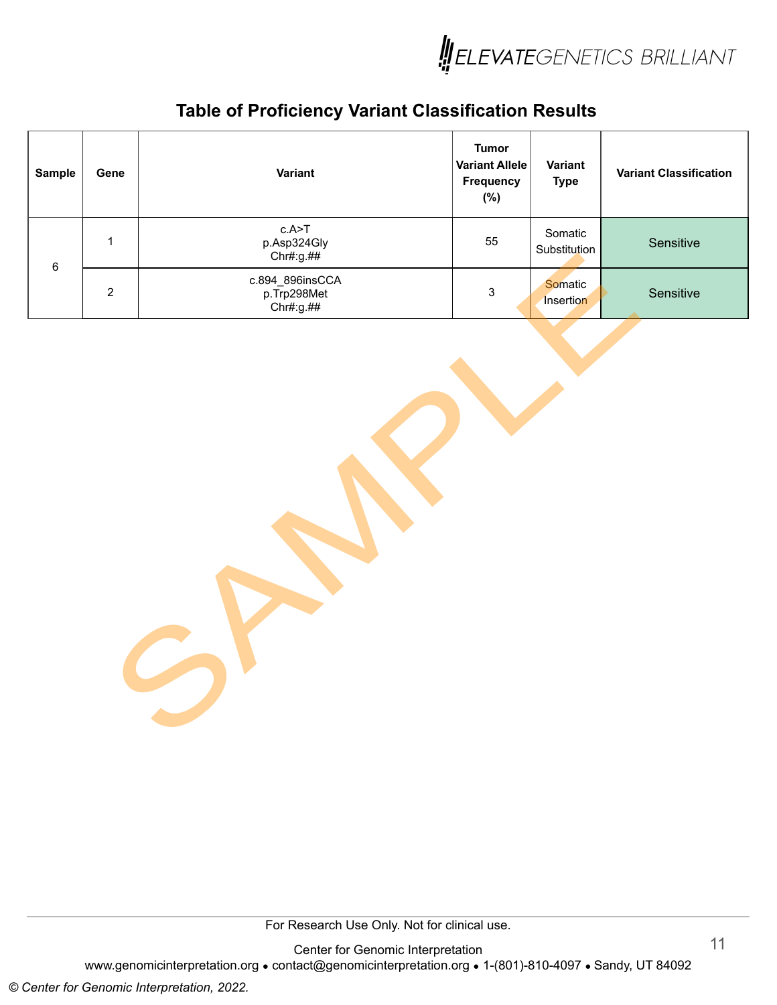

| <b>Sample</b> | Gene           | Variant                                     | <b>Tumor</b><br><b>Variant Allele</b><br><b>Frequency</b><br>$(\%)$ | Variant<br><b>Type</b>      | <b>Variant Classification</b> |
|---------------|----------------|---------------------------------------------|---------------------------------------------------------------------|-----------------------------|-------------------------------|
| 6             | 1              | c.A>T<br>p.Asp324Gly<br>Chr#:g.##           | 55                                                                  | Somatic<br>Substitution     | Sensitive                     |
|               | $\overline{2}$ | c.894_896insCCA<br>p.Trp298Met<br>Chr#:g.## | 3                                                                   | <b>Somatic</b><br>Insertion | Sensitive                     |

For Research Use Only. Not for clinical use.

Center for Genomic Interpretation www.genomicinterpretation.org • contact@genomicinterpretation.org • 1-(801)-810-4097 • Sandy, UT 84092

6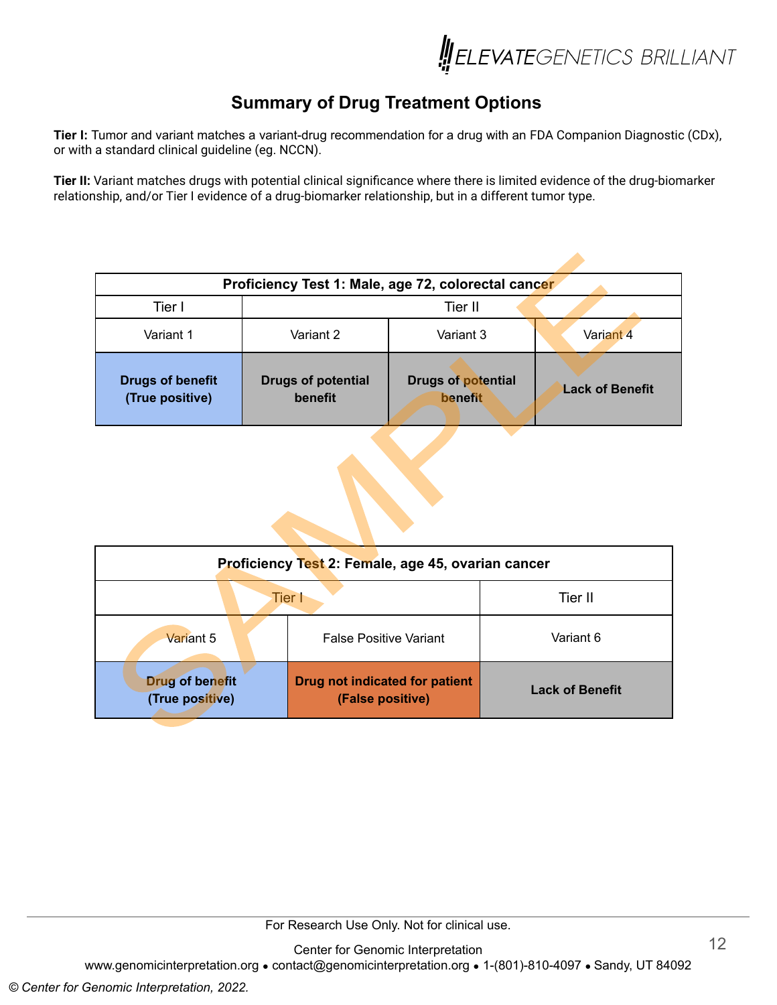

## **Summary of Drug Treatment Options**

**Tier I:** Tumor and variant matches a variant-drug recommendation for a drug with an FDA Companion Diagnostic (CDx), or with a standard clinical guideline (eg. NCCN).

**Tier II:** Variant matches drugs with potential clinical significance where there is limited evidence of the drug-biomarker relationship, and/or Tier I evidence of a drug-biomarker relationship, but in a different tumor type.

| Proficiency Test 1: Male, age 72, colorectal cancer |                                      |                                      |                        |  |  |  |  |  |  |
|-----------------------------------------------------|--------------------------------------|--------------------------------------|------------------------|--|--|--|--|--|--|
| Tier I                                              |                                      | Tier II                              |                        |  |  |  |  |  |  |
| Variant 1                                           | Variant 2                            | Variant 3                            | Variant 4              |  |  |  |  |  |  |
| <b>Drugs of benefit</b><br>(True positive)          | <b>Drugs of potential</b><br>benefit | <b>Drugs of potential</b><br>benefit | <b>Lack of Benefit</b> |  |  |  |  |  |  |

| Proficiency Test 2: Female, age 45, ovarian cancer |                                                    |                        |  |
|----------------------------------------------------|----------------------------------------------------|------------------------|--|
| <b>Tier I</b>                                      |                                                    | Tier II                |  |
| Variant 5                                          | <b>False Positive Variant</b>                      | Variant 6              |  |
| <b>Drug of benefit</b><br>(True positive)          | Drug not indicated for patient<br>(False positive) | <b>Lack of Benefit</b> |  |

For Research Use Only. Not for clinical use.

Center for Genomic Interpretation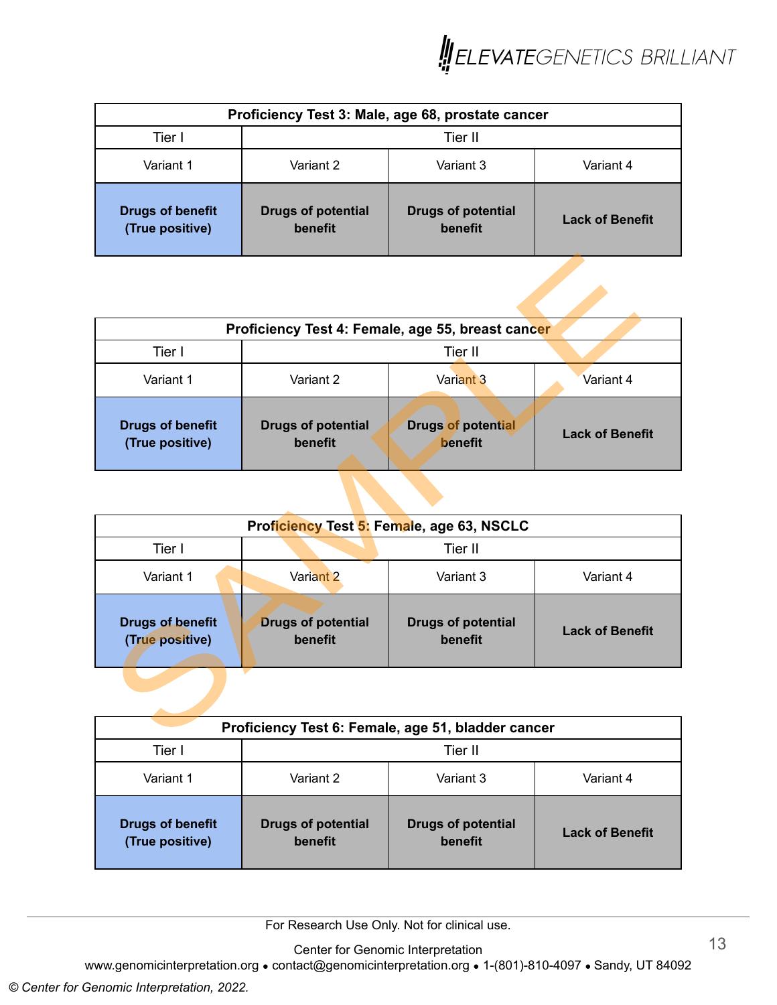

| Proficiency Test 3: Male, age 68, prostate cancer |                                      |                                      |                        |  |
|---------------------------------------------------|--------------------------------------|--------------------------------------|------------------------|--|
| Tier I                                            | Tier II                              |                                      |                        |  |
| Variant 1                                         | Variant 2                            | Variant 3                            | Variant 4              |  |
| <b>Drugs of benefit</b><br>(True positive)        | <b>Drugs of potential</b><br>benefit | <b>Drugs of potential</b><br>benefit | <b>Lack of Benefit</b> |  |

| Proficiency Test 4: Female, age 55, breast cancer |                                      |                                      |                        |  |
|---------------------------------------------------|--------------------------------------|--------------------------------------|------------------------|--|
| Tier I                                            | Tier II                              |                                      |                        |  |
| Variant 1                                         | Variant 2                            | Variant 3                            | Variant 4              |  |
| <b>Drugs of benefit</b><br>(True positive)        | <b>Drugs of potential</b><br>benefit | <b>Drugs of potential</b><br>benefit | <b>Lack of Benefit</b> |  |

| Proficiency Test 5: Female, age 63, NSCLC  |                                      |                                      |                        |  |  |
|--------------------------------------------|--------------------------------------|--------------------------------------|------------------------|--|--|
| Tier I                                     | Tier II                              |                                      |                        |  |  |
| Variant 1                                  | Variant 2<br>Variant 3<br>Variant 4  |                                      |                        |  |  |
| <b>Drugs of benefit</b><br>(True positive) | <b>Drugs of potential</b><br>benefit | <b>Drugs of potential</b><br>benefit | <b>Lack of Benefit</b> |  |  |

| Proficiency Test 6: Female, age 51, bladder cancer |                                      |                                      |                        |  |
|----------------------------------------------------|--------------------------------------|--------------------------------------|------------------------|--|
| Tier I                                             | Tier II                              |                                      |                        |  |
| Variant 1                                          | Variant 2                            | Variant 3                            | Variant 4              |  |
| <b>Drugs of benefit</b><br>(True positive)         | <b>Drugs of potential</b><br>benefit | <b>Drugs of potential</b><br>benefit | <b>Lack of Benefit</b> |  |

For Research Use Only. Not for clinical use.

Center for Genomic Interpretation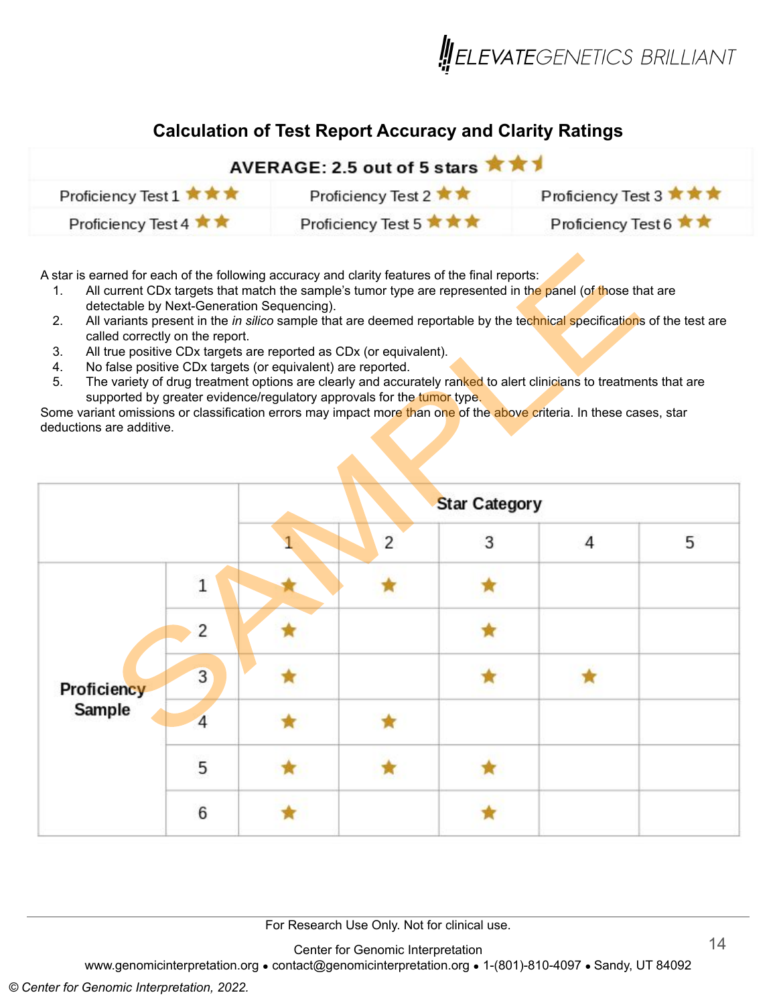

#### **Calculation of Test Report Accuracy and Clarity Ratings**

| AVERAGE: 2.5 out of 5 stars *** |                          |                        |  |  |
|---------------------------------|--------------------------|------------------------|--|--|
| Proficiency Test 1 ★ ★ ★        | Proficiency Test 2 ★★    | Proficiency Test 3 ★★★ |  |  |
| Proficiency Test 4 ★ ★          | Proficiency Test 5 ★ ★ ★ | Proficiency Test 6 ★★  |  |  |

A star is earned for each of the following accuracy and clarity features of the final reports:

- 1. All current CDx targets that match the sample's tumor type are represented in the panel (of those that are detectable by Next-Generation Sequencing).
- 2. All variants present in the *in silico* sample that are deemed reportable by the technical specifications of the test are called correctly on the report.
- 3. All true positive CDx targets are reported as CDx (or equivalent).
- 4. No false positive CDx targets (or equivalent) are reported.
- 5. The variety of drug treatment options are clearly and accurately ranked to alert clinicians to treatments that are supported by greater evidence/regulatory approvals for the tumor type.

Some variant omissions or classification errors may impact more than one of the above criteria. In these cases, star deductions are additive.

|                                                                          | <b>Star Category</b> |                |   |                |   |
|--------------------------------------------------------------------------|----------------------|----------------|---|----------------|---|
|                                                                          |                      | $\overline{2}$ | 3 | $\overline{4}$ | 5 |
| $1\,$<br>2<br>$\overline{3}$<br>Proficiency<br>Sample<br>4<br>5<br>$6\,$ |                      |                |   |                |   |
|                                                                          |                      |                |   |                |   |
|                                                                          |                      |                |   |                |   |
|                                                                          |                      |                |   |                |   |
|                                                                          |                      |                |   |                |   |
|                                                                          |                      |                |   |                |   |

For Research Use Only. Not for clinical use.

Center for Genomic Interpretation

www.genomicinterpretation.org ● contact@genomicinterpretation.org ● 1-(801)-810-4097 ● Sandy, UT 84092

#### *© Center for Genomic Interpretation, 2022.*